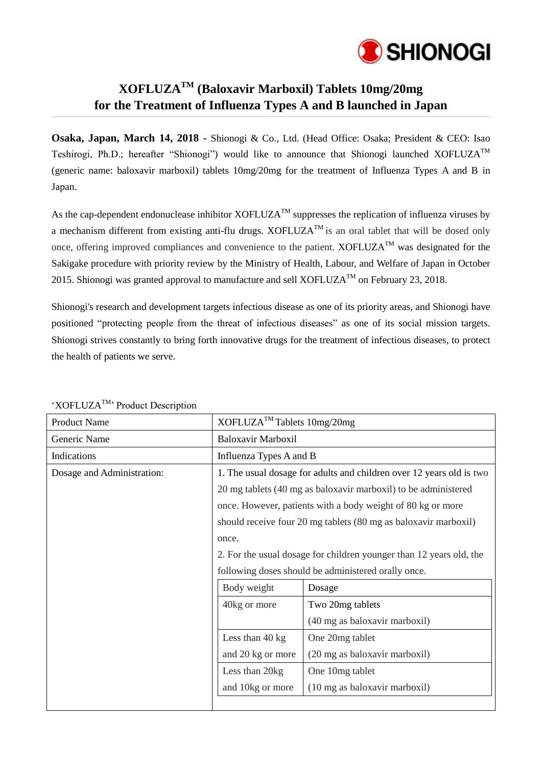

## **XOFLUZATM (Baloxavir Marboxil) Tablets 10mg/20mg for the Treatment of Influenza Types A and B launched in Japan**

**Osaka, Japan, March 14, 2018** - Shionogi & Co., Ltd. (Head Office: Osaka; President & CEO: Isao Teshirogi, Ph.D.; hereafter "Shionogi") would like to announce that Shionogi launched XOFLUZATM (generic name: baloxavir marboxil) tablets 10mg/20mg for the treatment of Influenza Types A and B in Japan.

As the cap-dependent endonuclease inhibitor XOFLUZA<sup>TM</sup> suppresses the replication of influenza viruses by a mechanism different from existing anti-flu drugs. XOFLUZA<sup>TM</sup> is an oral tablet that will be dosed only once, offering improved compliances and convenience to the patient.  $XOFLUZA^{TM}$  was designated for the Sakigake procedure with priority review by the Ministry of Health, Labour, and Welfare of Japan in October 2015. Shionogi was granted approval to manufacture and sell XOFLUZA<sup>TM</sup> on February 23, 2018.

Shionogi's research and development targets infectious disease as one of its priority areas, and Shionogi have positioned "protecting people from the threat of infectious diseases" as one of its social mission targets. Shionogi strives constantly to bring forth innovative drugs for the treatment of infectious diseases, to protect the health of patients we serve.

| <b>Product Name</b>        | XOFLUZA <sup>™</sup> Tablets 10mg/20mg                                                                                        |                                                                 |
|----------------------------|-------------------------------------------------------------------------------------------------------------------------------|-----------------------------------------------------------------|
| Generic Name               | Baloxavir Marboxil                                                                                                            |                                                                 |
| Indications                | Influenza Types A and B                                                                                                       |                                                                 |
| Dosage and Administration: | 1. The usual dosage for adults and children over 12 years old is two                                                          |                                                                 |
|                            | 20 mg tablets (40 mg as baloxavir marboxil) to be administered<br>once. However, patients with a body weight of 80 kg or more |                                                                 |
|                            |                                                                                                                               |                                                                 |
|                            |                                                                                                                               | should receive four 20 mg tablets (80 mg as baloxavir marboxil) |
|                            | once.                                                                                                                         |                                                                 |
|                            | 2. For the usual dosage for children younger than 12 years old, the                                                           |                                                                 |
|                            |                                                                                                                               | following doses should be administered orally once.             |
|                            | Body weight                                                                                                                   | Dosage                                                          |
|                            | 40kg or more                                                                                                                  | Two 20mg tablets                                                |
|                            |                                                                                                                               | (40 mg as baloxavir marboxil)                                   |
|                            | Less than 40 kg                                                                                                               | One 20mg tablet                                                 |
|                            | and 20 kg or more                                                                                                             | (20 mg as baloxavir marboxil)                                   |
|                            | Less than 20kg                                                                                                                | One 10mg tablet                                                 |
|                            | and 10kg or more                                                                                                              | (10 mg as baloxavir marboxil)                                   |
|                            |                                                                                                                               |                                                                 |

'XOFLUZATM' Product Description